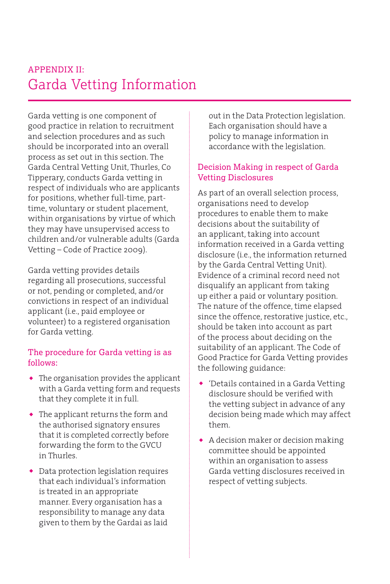# Garda Vetting Information APPENDIX II:

Garda vetting is one component of good practice in relation to recruitment and selection procedures and as such should be incorporated into an overall process as set out in this section. The Garda Central Vetting Unit, Thurles, Co Tipperary, conducts Garda vetting in respect of individuals who are applicants for positions, whether full-time, parttime, voluntary or student placement, within organisations by virtue of which they may have unsupervised access to children and/or vulnerable adults (Garda Vetting – Code of Practice 2009).

Garda vetting provides details regarding all prosecutions, successful or not, pending or completed, and/or convictions in respect of an individual applicant (i.e., paid employee or volunteer) to a registered organisation for Garda vetting.

#### The procedure for Garda vetting is as follows:

- ◆ The organisation provides the applicant with a Garda vetting form and requests that they complete it in full.
- ◆ The applicant returns the form and the authorised signatory ensures that it is completed correctly before forwarding the form to the GVCU in Thurles.
- ◆ Data protection legislation requires that each individual's information is treated in an appropriate manner. Every organisation has a responsibility to manage any data given to them by the Gardai as laid

out in the Data Protection legislation. Each organisation should have a policy to manage information in accordance with the legislation.

## Decision Making in respect of Garda Vetting Disclosures

As part of an overall selection process, organisations need to develop procedures to enable them to make decisions about the suitability of an applicant, taking into account information received in a Garda vetting disclosure (i.e., the information returned by the Garda Central Vetting Unit). Evidence of a criminal record need not disqualify an applicant from taking up either a paid or voluntary position. The nature of the offence, time elapsed since the offence, restorative justice, etc., should be taken into account as part of the process about deciding on the suitability of an applicant. The Code of Good Practice for Garda Vetting provides the following guidance:

- ◆ 'Details contained in a Garda Vetting disclosure should be verified with the vetting subject in advance of any decision being made which may affect them.
- ◆ A decision maker or decision making committee should be appointed within an organisation to assess Garda vetting disclosures received in respect of vetting subjects.